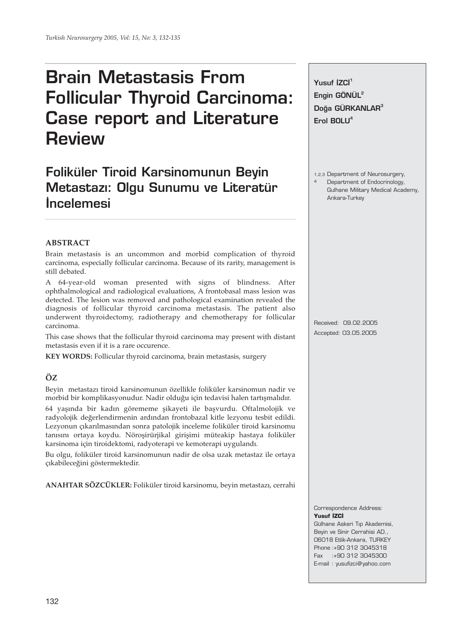# **Brain Metastasis From Follicular Thyroid Carcinoma: Case report and Literature Review**

# **Foliküler Tiroid Karsinomunun Beyin Metastaz›: Olgu Sunumu ve Literatür ‹ncelemesi**

# **ABSTRACT**

Brain metastasis is an uncommon and morbid complication of thyroid carcinoma, especially follicular carcinoma. Because of its rarity, management is still debated.

A 64-year-old woman presented with signs of blindness. After ophthalmological and radiological evaluations, A frontobasal mass lesion was detected. The lesion was removed and pathological examination revealed the diagnosis of follicular thyroid carcinoma metastasis. The patient also underwent thyroidectomy, radiotherapy and chemotherapy for follicular carcinoma.

This case shows that the follicular thyroid carcinoma may present with distant metastasis even if it is a rare occurence.

**KEY WORDS:** Follicular thyroid carcinoma, brain metastasis, surgery

# **ÖZ**

Beyin metastazı tiroid karsinomunun özellikle foliküler karsinomun nadir ve morbid bir komplikasyonudur. Nadir olduğu için tedavisi halen tartışmalıdır.

64 yaşında bir kadın görememe şikayeti ile başvurdu. Oftalmolojik ve radyolojik değerlendirmenin ardından frontobazal kitle lezyonu tesbit edildi. Lezyonun çıkarılmasından sonra patolojik inceleme foliküler tiroid karsinomu tanısını ortaya koydu. Nöroşirürjikal girişimi müteakip hastaya foliküler karsinoma için tiroidektomi, radyoterapi ve kemoterapi uygulandı.

Bu olgu, foliküler tiroid karsinomunun nadir de olsa uzak metastaz ile ortaya çıkabileceğini göstermektedir.

**ANAHTAR SÖZCÜKLER:** Foliküler tiroid karsinomu, beyin metastazı, cerrahi

**Yusuf** *ZCI*<sup>1</sup> **Engin GÖNÜL2** Doğa GÜRKANLAR<sup>3</sup> **Erol BOLU4**

1,2,3 Department of Neurosurgery,

4 Department of Endocrinology, Gulhane Military Medical Academy, Ankara-Turkey

Received: 09.02.2005 Accepted: 03.05.2005

#### Correspondence Address: **Yusuf** *i***ZCI**

Gülhane Askeri Tıp Akademisi, Beyin ve Sinir Cerrahisi AD., 06018 Etlik-Ankara, TURKEY Phone :+90 312 3045318 Fax :+90 312 3045300 E-mail : yusufizci@yahoo.com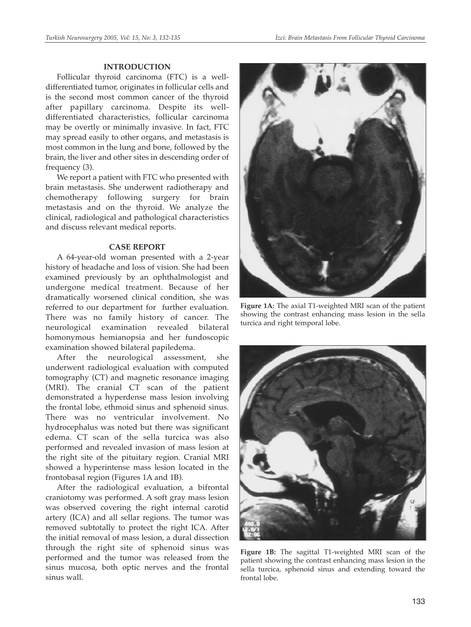## **INTRODUCTION**

Follicular thyroid carcinoma (FTC) is a welldifferentiated tumor, originates in follicular cells and is the second most common cancer of the thyroid after papillary carcinoma. Despite its welldifferentiated characteristics, follicular carcinoma may be overtly or minimally invasive. In fact, FTC may spread easily to other organs, and metastasis is most common in the lung and bone, followed by the brain, the liver and other sites in descending order of frequency (3).

We report a patient with FTC who presented with brain metastasis. She underwent radiotherapy and chemotherapy following surgery for brain metastasis and on the thyroid. We analyze the clinical, radiological and pathological characteristics and discuss relevant medical reports.

#### **CASE REPORT**

A 64-year-old woman presented with a 2-year history of headache and loss of vision. She had been examined previously by an ophthalmologist and undergone medical treatment. Because of her dramatically worsened clinical condition, she was referred to our department for further evaluation. There was no family history of cancer. The neurological examination revealed bilateral homonymous hemianopsia and her fundoscopic examination showed bilateral papiledema.

After the neurological assessment, she underwent radiological evaluation with computed tomography (CT) and magnetic resonance imaging (MRI). The cranial CT scan of the patient demonstrated a hyperdense mass lesion involving the frontal lobe, ethmoid sinus and sphenoid sinus. There was no ventricular involvement. No hydrocephalus was noted but there was significant edema. CT scan of the sella turcica was also performed and revealed invasion of mass lesion at the right site of the pituitary region. Cranial MRI showed a hyperintense mass lesion located in the frontobasal region (Figures 1A and 1B).

After the radiological evaluation, a bifrontal craniotomy was performed. A soft gray mass lesion was observed covering the right internal carotid artery (ICA) and all sellar regions. The tumor was removed subtotally to protect the right ICA. After the initial removal of mass lesion, a dural dissection through the right site of sphenoid sinus was performed and the tumor was released from the sinus mucosa, both optic nerves and the frontal sinus wall.



**Figure 1A:** The axial T1-weighted MRI scan of the patient showing the contrast enhancing mass lesion in the sella turcica and right temporal lobe.



**Figure 1B:** The sagittal T1-weighted MRI scan of the patient showing the contrast enhancing mass lesion in the sella turcica, sphenoid sinus and extending toward the frontal lobe.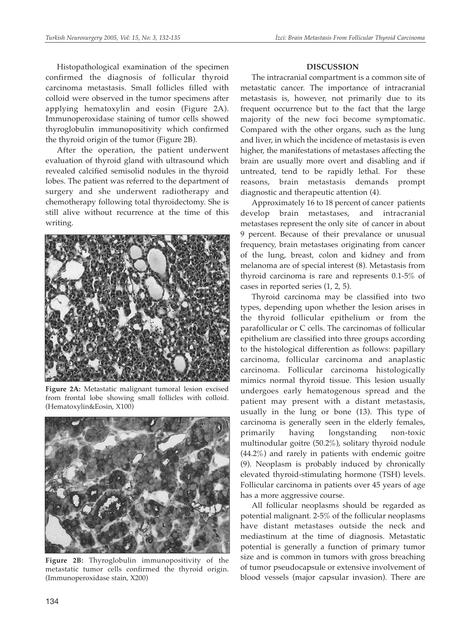Histopathological examination of the specimen confirmed the diagnosis of follicular thyroid carcinoma metastasis. Small follicles filled with colloid were observed in the tumor specimens after applying hematoxylin and eosin (Figure 2A). Immunoperoxidase staining of tumor cells showed thyroglobulin immunopositivity which confirmed the thyroid origin of the tumor (Figure 2B).

After the operation, the patient underwent evaluation of thyroid gland with ultrasound which revealed calcified semisolid nodules in the thyroid lobes. The patient was referred to the department of surgery and she underwent radiotherapy and chemotherapy following total thyroidectomy. She is still alive without recurrence at the time of this writing.



**Figure 2A:** Metastatic malignant tumoral lesion excised from frontal lobe showing small follicles with colloid. (Hematoxylin&Eosin, X100)



**Figure 2B:** Thyroglobulin immunopositivity of the metastatic tumor cells confirmed the thyroid origin. (Immunoperoxidase stain, X200)

# **DISCUSSION**

The intracranial compartment is a common site of metastatic cancer. The importance of intracranial metastasis is, however, not primarily due to its frequent occurrence but to the fact that the large majority of the new foci become symptomatic. Compared with the other organs, such as the lung and liver, in which the incidence of metastasis is even higher, the manifestations of metastases affecting the brain are usually more overt and disabling and if untreated, tend to be rapidly lethal. For these reasons, brain metastasis demands prompt diagnostic and therapeutic attention (4).

Approximately 16 to 18 percent of cancer patients develop brain metastases, and intracranial metastases represent the only site of cancer in about 9 percent. Because of their prevalance or unusual frequency, brain metastases originating from cancer of the lung, breast, colon and kidney and from melanoma are of special interest (8). Metastasis from thyroid carcinoma is rare and represents 0.1-5% of cases in reported series (1, 2, 5).

Thyroid carcinoma may be classified into two types, depending upon whether the lesion arises in the thyroid follicular epithelium or from the parafollicular or C cells. The carcinomas of follicular epithelium are classified into three groups according to the histological differention as follows: papillary carcinoma, follicular carcinoma and anaplastic carcinoma. Follicular carcinoma histologically mimics normal thyroid tissue. This lesion usually undergoes early hematogenous spread and the patient may present with a distant metastasis, usually in the lung or bone (13). This type of carcinoma is generally seen in the elderly females, primarily having longstanding non-toxic multinodular goitre (50.2%), solitary thyroid nodule (44.2%) and rarely in patients with endemic goitre (9). Neoplasm is probably induced by chronically elevated thyroid-stimulating hormone (TSH) levels. Follicular carcinoma in patients over 45 years of age has a more aggressive course.

All follicular neoplasms should be regarded as potential malignant. 2-5% of the follicular neoplasms have distant metastases outside the neck and mediastinum at the time of diagnosis. Metastatic potential is generally a function of primary tumor size and is common in tumors with gross breaching of tumor pseudocapsule or extensive involvement of blood vessels (major capsular invasion). There are